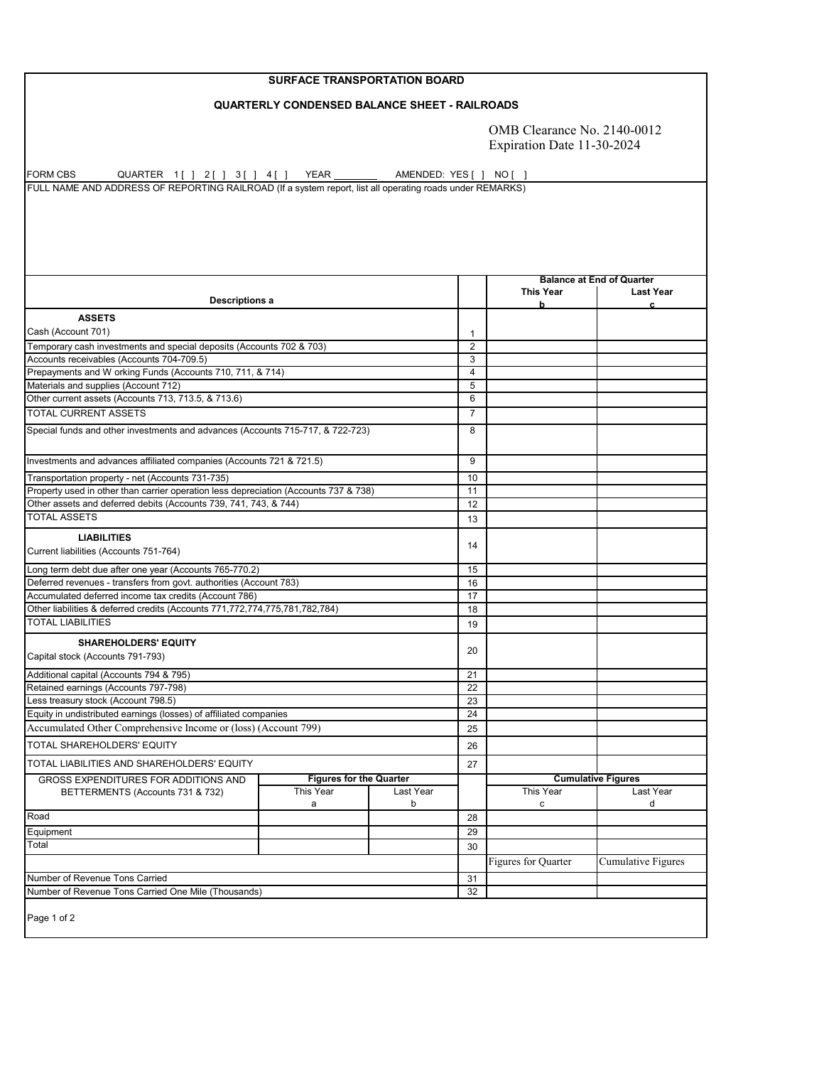## **SURFACE TRANSPORTATION BOARD**

## **QUARTERLY CONDENSED BALANCE SHEET - RAILROADS**

OMB Clearance No. 2140-0012 Expiration Date 11-30-2024

FORM CBS QUARTER 1[] 2[] 3[] 4[] YEAR \_\_\_\_\_\_\_\_\_ AMENDED: YES [ ] NO [ ] FULL NAME AND ADDRESS OF REPORTING RAILROAD (If a system report, list all operating roads under REMARKS)

|                                                                                      |                                |                |                         | <b>Balance at End of Quarter</b> |                           |
|--------------------------------------------------------------------------------------|--------------------------------|----------------|-------------------------|----------------------------------|---------------------------|
| <b>Descriptions a</b>                                                                |                                |                |                         | <b>This Year</b><br>b            | <b>Last Year</b>          |
| <b>ASSETS</b>                                                                        |                                |                |                         |                                  |                           |
| Cash (Account 701)                                                                   |                                |                | 1                       |                                  |                           |
| Temporary cash investments and special deposits (Accounts 702 & 703)                 |                                |                | $\overline{2}$          |                                  |                           |
| Accounts receivables (Accounts 704-709.5)                                            |                                |                | 3                       |                                  |                           |
| Prepayments and W orking Funds (Accounts 710, 711, & 714)                            |                                |                | $\overline{\mathbf{4}}$ |                                  |                           |
| Materials and supplies (Account 712)                                                 |                                |                | $\overline{5}$          |                                  |                           |
| Other current assets (Accounts 713, 713.5, & 713.6)                                  |                                |                | 6                       |                                  |                           |
| <b>TOTAL CURRENT ASSETS</b>                                                          |                                |                | $\overline{7}$          |                                  |                           |
| Special funds and other investments and advances (Accounts 715-717, & 722-723)       |                                |                | 8                       |                                  |                           |
| Investments and advances affiliated companies (Accounts 721 & 721.5)                 |                                |                | 9                       |                                  |                           |
| Transportation property - net (Accounts 731-735)                                     |                                |                | 10                      |                                  |                           |
| Property used in other than carrier operation less depreciation (Accounts 737 & 738) |                                |                | 11                      |                                  |                           |
| Other assets and deferred debits (Accounts 739, 741, 743, & 744)                     |                                |                | 12                      |                                  |                           |
| <b>TOTAL ASSETS</b>                                                                  |                                |                | 13                      |                                  |                           |
| <b>LIABILITIES</b>                                                                   |                                |                |                         |                                  |                           |
| Current liabilities (Accounts 751-764)                                               |                                |                | 14                      |                                  |                           |
| Long term debt due after one year (Accounts 765-770.2)                               |                                |                | 15                      |                                  |                           |
| Deferred revenues - transfers from govt. authorities (Account 783)                   |                                |                | 16                      |                                  |                           |
| Accumulated deferred income tax credits (Account 786)                                |                                |                | 17                      |                                  |                           |
| Other liabilities & deferred credits (Accounts 771,772,774,775,781,782,784)          |                                |                | 18                      |                                  |                           |
| <b>TOTAL LIABILITIES</b>                                                             |                                |                | 19                      |                                  |                           |
| <b>SHAREHOLDERS' EQUITY</b>                                                          |                                |                |                         |                                  |                           |
| Capital stock (Accounts 791-793)                                                     |                                |                | 20                      |                                  |                           |
| Additional capital (Accounts 794 & 795)                                              |                                |                | 21                      |                                  |                           |
| Retained earnings (Accounts 797-798)                                                 |                                |                | 22                      |                                  |                           |
| Less treasury stock (Account 798.5)                                                  |                                |                | 23                      |                                  |                           |
| Equity in undistributed earnings (losses) of affiliated companies                    |                                |                | 24                      |                                  |                           |
| Accumulated Other Comprehensive Income or (loss) (Account 799)                       |                                |                | 25                      |                                  |                           |
| <b>TOTAL SHAREHOLDERS' EQUITY</b>                                                    |                                |                | 26                      |                                  |                           |
| TOTAL LIABILITIES AND SHAREHOLDERS' EQUITY                                           |                                |                | 27                      |                                  |                           |
| <b>GROSS EXPENDITURES FOR ADDITIONS AND</b>                                          | <b>Figures for the Quarter</b> |                |                         |                                  | <b>Cumulative Figures</b> |
| BETTERMENTS (Accounts 731 & 732)                                                     | This Year<br>а                 | Last Year<br>b |                         | This Year<br>$\mathbf c$         | Last Year<br>d            |
| Road                                                                                 |                                |                | 28                      |                                  |                           |
| Equipment                                                                            |                                |                | 29                      |                                  |                           |
| Total                                                                                |                                |                | 30                      |                                  |                           |
|                                                                                      |                                |                |                         | <b>Figures for Quarter</b>       | Cumulative Figures        |
|                                                                                      |                                |                |                         |                                  |                           |
| Number of Revenue Tons Carried                                                       |                                |                | 31                      |                                  |                           |
| Number of Revenue Tons Carried One Mile (Thousands)                                  |                                |                | 32                      |                                  |                           |